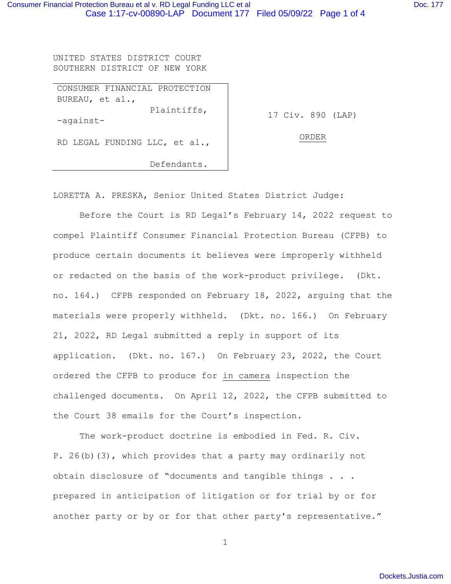UNITED STATES DISTRICT COURT SOUTHERN DISTRICT OF NEW YORK

| CONSUMER FINANCIAL PROTECTION |             |
|-------------------------------|-------------|
| BUREAU, et al.,               |             |
| Plaintiffs,                   | 17 Civ. 890 |
| -against-                     |             |
| RD LEGAL FUNDING LLC, et al., | OR DE R     |
| Defendants.                   |             |

LORETTA A. PRESKA, Senior United States District Judge:

Before the Court is RD Legal's February 14, 2022 request to compel Plaintiff Consumer Financial Protection Bureau (CFPB) to produce certain documents it believes were improperly withheld or redacted on the basis of the work-product privilege. (Dkt. no. 164.) CFPB responded on February 18, 2022, arguing that the materials were properly withheld. (Dkt. no. 166.) On February 21, 2022, RD Legal submitted a reply in support of its application. (Dkt. no. 167.) On February 23, 2022, the Court ordered the CFPB to produce for in camera inspection the challenged documents. On April 12, 2022, the CFPB submitted to the Court 38 emails for the Court's inspection.

The work-product doctrine is embodied in Fed. R. Civ. P. 26(b)(3), which provides that a party may ordinarily not obtain disclosure of "documents and tangible things . . . prepared in anticipation of litigation or for trial by or for another party or by or for that other party's representative."

1

890 (LAP)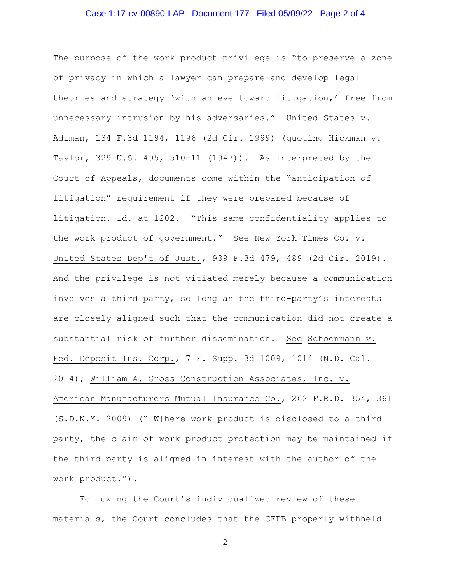## Case 1:17-cv-00890-LAP Document 177 Filed 05/09/22 Page 2 of 4

The purpose of the work product privilege is "to preserve a zone of privacy in which a lawyer can prepare and develop legal theories and strategy 'with an eye toward litigation,' free from unnecessary intrusion by his adversaries." United States v. Adlman, 134 F.3d 1194, 1196 (2d Cir. 1999) (quoting Hickman v. Taylor, 329 U.S. 495, 510-11 (1947)). As interpreted by the Court of Appeals, documents come within the "anticipation of litigation" requirement if they were prepared because of litigation. Id. at 1202. "This same confidentiality applies to the work product of government." See New York Times Co. v. United States Dep't of Just., 939 F.3d 479, 489 (2d Cir. 2019). And the privilege is not vitiated merely because a communication involves a third party, so long as the third-party's interests are closely aligned such that the communication did not create a substantial risk of further dissemination. See Schoenmann v. Fed. Deposit Ins. Corp., 7 F. Supp. 3d 1009, 1014 (N.D. Cal. 2014); William A. Gross Construction Associates, Inc. v. American Manufacturers Mutual Insurance Co., 262 F.R.D. 354, 361 (S.D.N.Y. 2009) ("[W]here work product is disclosed to a third party, the claim of work product protection may be maintained if the third party is aligned in interest with the author of the work product.").

Following the Court's individualized review of these materials, the Court concludes that the CFPB properly withheld

2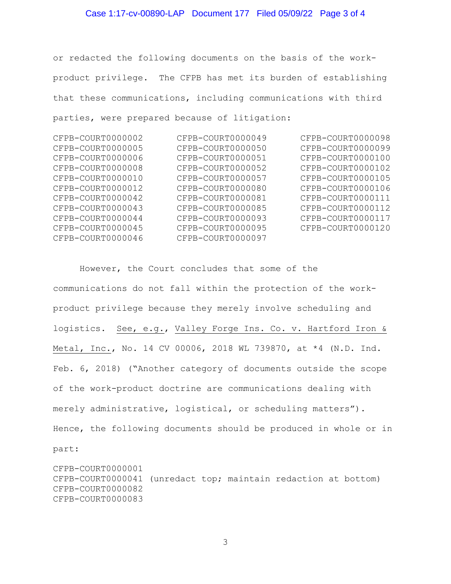## Case 1:17-cv-00890-LAP Document 177 Filed 05/09/22 Page 3 of 4

or redacted the following documents on the basis of the workproduct privilege. The CFPB has met its burden of establishing that these communications, including communications with third parties, were prepared because of litigation:

| CFPB-COURT0000002 | CFPB-COURT0000049 | CFPB-COURT0000098 |
|-------------------|-------------------|-------------------|
| CFPB-COURT0000005 | CFPB-COURT0000050 | CFPB-COURT0000099 |
| CFPB-COURT0000006 | CFPB-COURT0000051 | CFPB-COURT0000100 |
| CFPB-COURT0000008 | CFPB-COURT0000052 | CFPB-COURT0000102 |
| CFPB-COURT0000010 | CFPB-COURT0000057 | CFPB-COURT0000105 |
| CFPB-COURT0000012 | CFPB-COURT0000080 | CFPB-COURT0000106 |
| CFPB-COURT0000042 | CFPB-COURT0000081 | CFPB-COURT0000111 |
| CFPB-COURT0000043 | CFPB-COURT0000085 | CFPB-COURT0000112 |
| CFPB-COURT0000044 | CFPB-COURT0000093 | CFPB-COURT0000117 |
| CFPB-COURT0000045 | CFPB-COURT0000095 | CFPB-COURT0000120 |
| CFPB-COURT0000046 | CFPB-COURT0000097 |                   |

 However, the Court concludes that some of the communications do not fall within the protection of the workproduct privilege because they merely involve scheduling and logistics. See, e.g., Valley Forge Ins. Co. v. Hartford Iron & Metal, Inc., No. 14 CV 00006, 2018 WL 739870, at \*4 (N.D. Ind. Feb. 6, 2018) ("Another category of documents outside the scope of the work-product doctrine are communications dealing with merely administrative, logistical, or scheduling matters"). Hence, the following documents should be produced in whole or in part:

CFPB-COURT0000001 CFPB-COURT0000041 (unredact top; maintain redaction at bottom) CFPB-COURT0000082 CFPB-COURT0000083

3